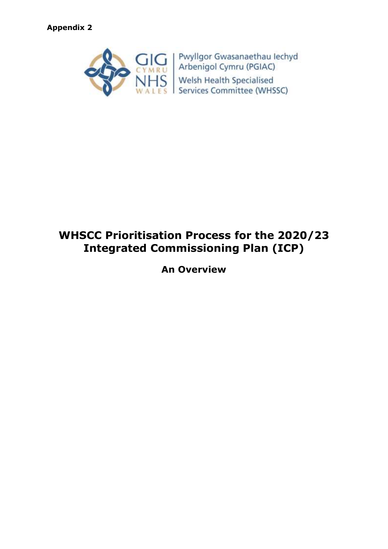

# **WHSCC Prioritisation Process for the 2020/23 Integrated Commissioning Plan (ICP)**

**An Overview**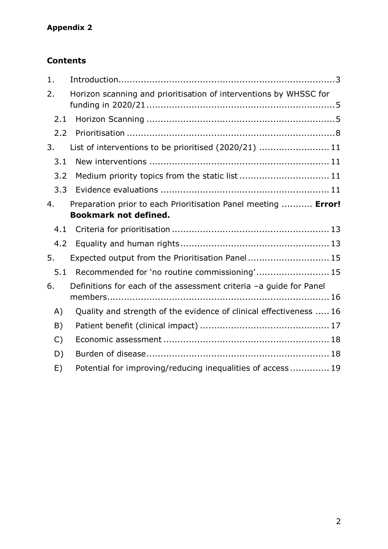# **Appendix 2**

### **Contents**

| 1.           |                                                                                                |
|--------------|------------------------------------------------------------------------------------------------|
| 2.           | Horizon scanning and prioritisation of interventions by WHSSC for                              |
| 2.1          |                                                                                                |
| 2.2          |                                                                                                |
| 3.           | List of interventions to be prioritised (2020/21)  11                                          |
| 3.1          |                                                                                                |
| 3.2          | Medium priority topics from the static list  11                                                |
| 3.3          |                                                                                                |
| 4.           | Preparation prior to each Prioritisation Panel meeting  Error!<br><b>Bookmark not defined.</b> |
| 4.1          |                                                                                                |
| 4.2          |                                                                                                |
| 5.           | Expected output from the Prioritisation Panel 15                                               |
| 5.1          | Recommended for 'no routine commissioning' 15                                                  |
| 6.           | Definitions for each of the assessment criteria -a guide for Panel                             |
| A)           | Quality and strength of the evidence of clinical effectiveness  16                             |
| B)           |                                                                                                |
| $\mathsf{C}$ |                                                                                                |
| D)           |                                                                                                |
| E)           | Potential for improving/reducing inequalities of access 19                                     |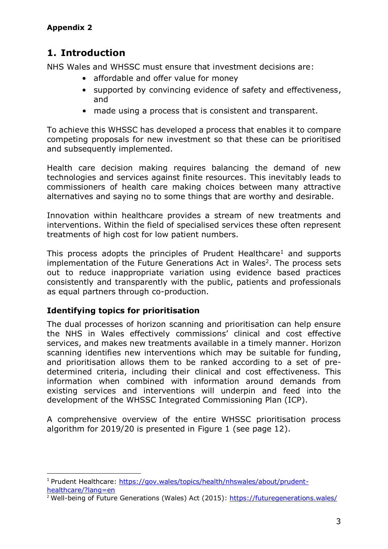# <span id="page-2-0"></span>**1. Introduction**

NHS Wales and WHSSC must ensure that investment decisions are:

- affordable and offer value for money
- supported by convincing evidence of safety and effectiveness, and
- made using a process that is consistent and transparent.

To achieve this WHSSC has developed a process that enables it to compare competing proposals for new investment so that these can be prioritised and subsequently implemented.

Health care decision making requires balancing the demand of new technologies and services against finite resources. This inevitably leads to commissioners of health care making choices between many attractive alternatives and saying no to some things that are worthy and desirable.

Innovation within healthcare provides a stream of new treatments and interventions. Within the field of specialised services these often represent treatments of high cost for low patient numbers.

This process adopts the principles of Prudent Healthcare<sup>1</sup> and supports implementation of the Future Generations Act in Wales<sup>2</sup>. The process sets out to reduce inappropriate variation using evidence based practices consistently and transparently with the public, patients and professionals as equal partners through co-production.

#### **Identifying topics for prioritisation**

1

The dual processes of horizon scanning and prioritisation can help ensure the NHS in Wales effectively commissions' clinical and cost effective services, and makes new treatments available in a timely manner. Horizon scanning identifies new interventions which may be suitable for funding, and prioritisation allows them to be ranked according to a set of predetermined criteria, including their clinical and cost effectiveness. This information when combined with information around demands from existing services and interventions will underpin and feed into the development of the WHSSC Integrated Commissioning Plan (ICP).

A comprehensive overview of the entire WHSSC prioritisation process algorithm for 2019/20 is presented in Figure 1 (see page 12).

<sup>1</sup> Prudent Healthcare: [https://gov.wales/topics/health/nhswales/about/prudent](https://gov.wales/topics/health/nhswales/about/prudent-healthcare/?lang=en)[healthcare/?lang=en](https://gov.wales/topics/health/nhswales/about/prudent-healthcare/?lang=en)

<sup>&</sup>lt;sup>2</sup> Well-being of Future Generations (Wales) Act (2015):<https://futuregenerations.wales/>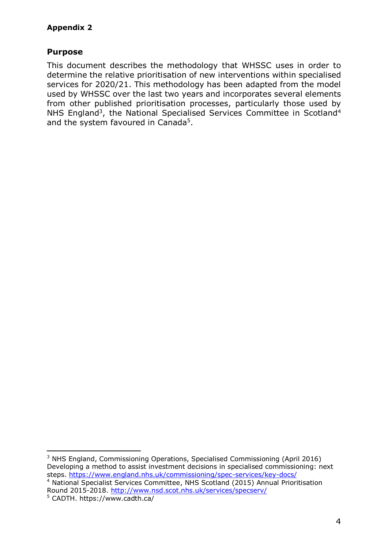#### **Purpose**

This document describes the methodology that WHSSC uses in order to determine the relative prioritisation of new interventions within specialised services for 2020/21. This methodology has been adapted from the model used by WHSSC over the last two years and incorporates several elements from other published prioritisation processes, particularly those used by NHS England<sup>3</sup>, the National Specialised Services Committee in Scotland<sup>4</sup> and the system favoured in Canada<sup>5</sup>.

**<sup>.</sup>** <sup>3</sup> NHS England, Commissioning Operations, Specialised Commissioning (April 2016) Developing a method to assist investment decisions in specialised commissioning: next steps.<https://www.england.nhs.uk/commissioning/spec-services/key-docs/> <sup>4</sup> National Specialist Services Committee, NHS Scotland (2015) Annual Prioritisation Round 2015-2018.<http://www.nsd.scot.nhs.uk/services/specserv/>

<sup>5</sup> CADTH.<https://www.cadth.ca/>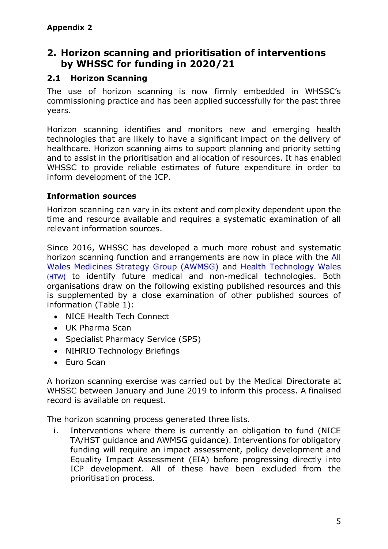## <span id="page-4-0"></span>**2. Horizon scanning and prioritisation of interventions by WHSSC for funding in 2020/21**

### <span id="page-4-1"></span>**2.1 Horizon Scanning**

The use of horizon scanning is now firmly embedded in WHSSC's commissioning practice and has been applied successfully for the past three years.

Horizon scanning identifies and monitors new and emerging health technologies that are likely to have a significant impact on the delivery of healthcare. Horizon scanning aims to support planning and priority setting and to assist in the prioritisation and allocation of resources. It has enabled WHSSC to provide reliable estimates of future expenditure in order to inform development of the ICP.

#### **Information sources**

Horizon scanning can vary in its extent and complexity dependent upon the time and resource available and requires a systematic examination of all relevant information sources.

Since 2016, WHSSC has developed a much more robust and systematic horizon scanning function and arrangements are now in place with the [All](http://www.awmsg.org/)  [Wales Medicines Strategy Group \(AWMSG\)](http://www.awmsg.org/) and [Health Technology Wales](http://www.healthtechnology.wales/) (HTW) to identify future medical and non-medical technologies. Both organisations draw on the following existing published resources and this is supplemented by a close examination of other published sources of information (Table 1):

- NICE Health Tech Connect
- UK Pharma Scan
- Specialist Pharmacy Service (SPS)
- NIHRIO Technology Briefings
- Furo Scan

A horizon scanning exercise was carried out by the Medical Directorate at WHSSC between January and June 2019 to inform this process. A finalised record is available on request.

The horizon scanning process generated three lists.

i. Interventions where there is currently an obligation to fund (NICE TA/HST guidance and AWMSG guidance). Interventions for obligatory funding will require an impact assessment, policy development and Equality Impact Assessment (EIA) before progressing directly into ICP development. All of these have been excluded from the prioritisation process.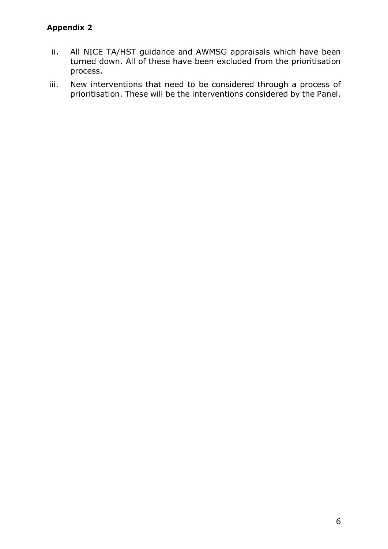#### **Appendix 2**

- ii. All NICE TA/HST guidance and AWMSG appraisals which have been turned down. All of these have been excluded from the prioritisation process.
- iii. New interventions that need to be considered through a process of prioritisation. These will be the interventions considered by the Panel.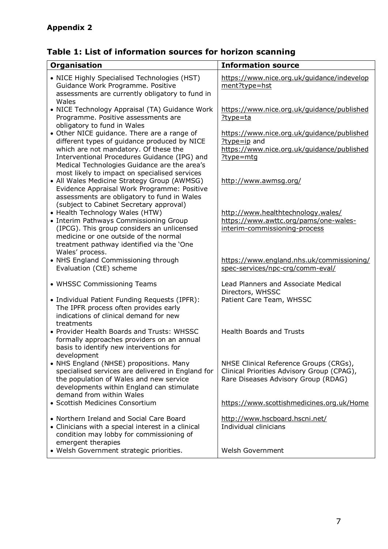# **Table 1: List of information sources for horizon scanning**

| Organisation                                                                                                                                                                                                                                                                | <b>Information source</b>                                                                                                   |  |  |
|-----------------------------------------------------------------------------------------------------------------------------------------------------------------------------------------------------------------------------------------------------------------------------|-----------------------------------------------------------------------------------------------------------------------------|--|--|
| • NICE Highly Specialised Technologies (HST)<br>Guidance Work Programme. Positive<br>assessments are currently obligatory to fund in<br>Wales                                                                                                                               | https://www.nice.org.uk/quidance/indevelop<br>ment?type=hst                                                                 |  |  |
| • NICE Technology Appraisal (TA) Guidance Work<br>Programme. Positive assessments are<br>obligatory to fund in Wales                                                                                                                                                        | https://www.nice.org.uk/guidance/published<br>$?type=ta$                                                                    |  |  |
| • Other NICE guidance. There are a range of<br>different types of guidance produced by NICE<br>which are not mandatory. Of these the<br>Interventional Procedures Guidance (IPG) and<br>Medical Technologies Guidance are the area's                                        | https://www.nice.org.uk/guidance/published<br>$?type = ip$ and<br>https://www.nice.org.uk/guidance/published<br>?type=mtg   |  |  |
| most likely to impact on specialised services<br>• All Wales Medicine Strategy Group (AWMSG)<br>Evidence Appraisal Work Programme: Positive<br>assessments are obligatory to fund in Wales                                                                                  | http://www.awmsg.org/                                                                                                       |  |  |
| (subject to Cabinet Secretary approval)<br>• Health Technology Wales (HTW)<br>• Interim Pathways Commissioning Group<br>(IPCG). This group considers an unlicensed<br>medicine or one outside of the normal<br>treatment pathway identified via the 'One<br>Wales' process. | http://www.healthtechnology.wales/<br>https://www.awttc.org/pams/one-wales-<br>interim-commissioning-process                |  |  |
| • NHS England Commissioning through<br>Evaluation (CtE) scheme                                                                                                                                                                                                              | https://www.england.nhs.uk/commissioning/<br>spec-services/npc-crg/comm-eval/                                               |  |  |
| • WHSSC Commissioning Teams<br>• Individual Patient Funding Requests (IPFR):<br>The IPFR process often provides early<br>indications of clinical demand for new                                                                                                             | Lead Planners and Associate Medical<br>Directors, WHSSC<br>Patient Care Team, WHSSC                                         |  |  |
| treatments<br>• Provider Health Boards and Trusts: WHSSC<br>formally approaches providers on an annual<br>basis to identify new interventions for<br>development                                                                                                            | <b>Health Boards and Trusts</b>                                                                                             |  |  |
| • NHS England (NHSE) propositions. Many<br>specialised services are delivered in England for<br>the population of Wales and new service<br>developments within England can stimulate<br>demand from within Wales                                                            | NHSE Clinical Reference Groups (CRGs),<br>Clinical Priorities Advisory Group (CPAG),<br>Rare Diseases Advisory Group (RDAG) |  |  |
| • Scottish Medicines Consortium                                                                                                                                                                                                                                             | https://www.scottishmedicines.org.uk/Home                                                                                   |  |  |
| • Northern Ireland and Social Care Board<br>• Clinicians with a special interest in a clinical<br>condition may lobby for commissioning of<br>emergent therapies                                                                                                            | http://www.hscboard.hscni.net/<br>Individual clinicians                                                                     |  |  |
| • Welsh Government strategic priorities.                                                                                                                                                                                                                                    | <b>Welsh Government</b>                                                                                                     |  |  |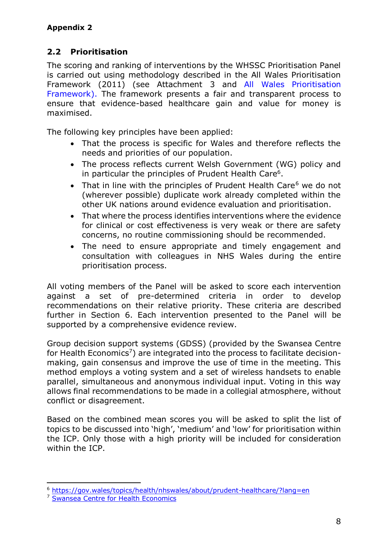### <span id="page-7-0"></span>**2.2 Prioritisation**

The scoring and ranking of interventions by the WHSSC Prioritisation Panel is carried out using methodology described in the All Wales Prioritisation Framework (2011) (see Attachment 3 and [All Wales Prioritisation](http://www.cardiffandvaleuhb.wales.nhs.uk/sitesplus/documents/1143/3%2018.pdf)  [Framework\)](http://www.cardiffandvaleuhb.wales.nhs.uk/sitesplus/documents/1143/3%2018.pdf). The framework presents a fair and transparent process to ensure that evidence-based healthcare gain and value for money is maximised.

The following key principles have been applied:

- That the process is specific for Wales and therefore reflects the needs and priorities of our population.
- The process reflects current Welsh Government (WG) policy and in particular the principles of Prudent Health Care<sup>6</sup>.
- That in line with the principles of Prudent Health Care $6$  we do not (wherever possible) duplicate work already completed within the other UK nations around evidence evaluation and prioritisation.
- That where the process identifies interventions where the evidence for clinical or cost effectiveness is very weak or there are safety concerns, no routine commissioning should be recommended.
- The need to ensure appropriate and timely engagement and consultation with colleagues in NHS Wales during the entire prioritisation process.

All voting members of the Panel will be asked to score each intervention against a set of pre-determined criteria in order to develop recommendations on their relative priority. These criteria are described further in Section 6. Each intervention presented to the Panel will be supported by a comprehensive evidence review.

Group decision support systems (GDSS) (provided by the Swansea Centre for Health Economics<sup>7</sup>) are integrated into the process to facilitate decisionmaking, gain consensus and improve the use of time in the meeting. This method employs a voting system and a set of wireless handsets to enable parallel, simultaneous and anonymous individual input. Voting in this way allows final recommendations to be made in a collegial atmosphere, without conflict or disagreement.

Based on the combined mean scores you will be asked to split the list of topics to be discussed into 'high', 'medium' and 'low' for prioritisation within the ICP. Only those with a high priority will be included for consideration within the ICP.

**<sup>.</sup>** <sup>6</sup> <https://gov.wales/topics/health/nhswales/about/prudent-healthcare/?lang=en>

<sup>7</sup> [Swansea Centre for Health Economics](http://www.swansea.ac.uk/humanandhealthsciences/business/swanseacentreforhealtheconomics/)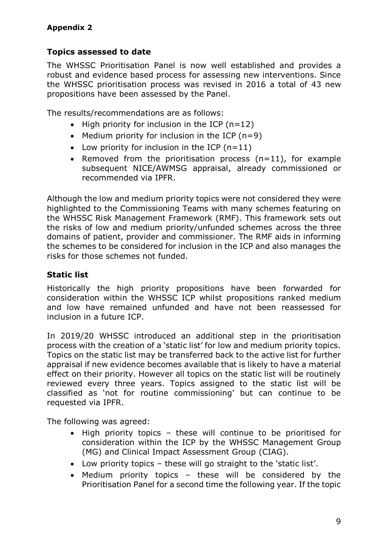### **Topics assessed to date**

The WHSSC Prioritisation Panel is now well established and provides a robust and evidence based process for assessing new interventions. Since the WHSSC prioritisation process was revised in 2016 a total of 43 new propositions have been assessed by the Panel.

The results/recommendations are as follows:

- $\bullet$  High priority for inclusion in the ICP (n=12)
- Medium priority for inclusion in the ICP  $(n=9)$
- Low priority for inclusion in the ICP  $(n=11)$
- Removed from the prioritisation process  $(n=11)$ , for example subsequent NICE/AWMSG appraisal, already commissioned or recommended via IPFR.

Although the low and medium priority topics were not considered they were highlighted to the Commissioning Teams with many schemes featuring on the WHSSC Risk Management Framework (RMF). This framework sets out the risks of low and medium priority/unfunded schemes across the three domains of patient, provider and commissioner. The RMF aids in informing the schemes to be considered for inclusion in the ICP and also manages the risks for those schemes not funded.

#### **Static list**

Historically the high priority propositions have been forwarded for consideration within the WHSSC ICP whilst propositions ranked medium and low have remained unfunded and have not been reassessed for inclusion in a future ICP.

In 2019/20 WHSSC introduced an additional step in the prioritisation process with the creation of a 'static list' for low and medium priority topics. Topics on the static list may be transferred back to the active list for further appraisal if new evidence becomes available that is likely to have a material effect on their priority. However all topics on the static list will be routinely reviewed every three years. Topics assigned to the static list will be classified as 'not for routine commissioning' but can continue to be requested via IPFR.

The following was agreed:

- High priority topics these will continue to be prioritised for consideration within the ICP by the WHSSC Management Group (MG) and Clinical Impact Assessment Group (CIAG).
- Low priority topics these will go straight to the 'static list'.
- Medium priority topics these will be considered by the Prioritisation Panel for a second time the following year. If the topic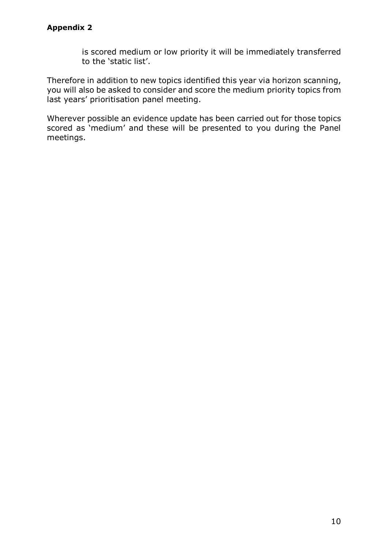is scored medium or low priority it will be immediately transferred to the 'static list'.

Therefore in addition to new topics identified this year via horizon scanning, you will also be asked to consider and score the medium priority topics from last years' prioritisation panel meeting.

Wherever possible an evidence update has been carried out for those topics scored as 'medium' and these will be presented to you during the Panel meetings.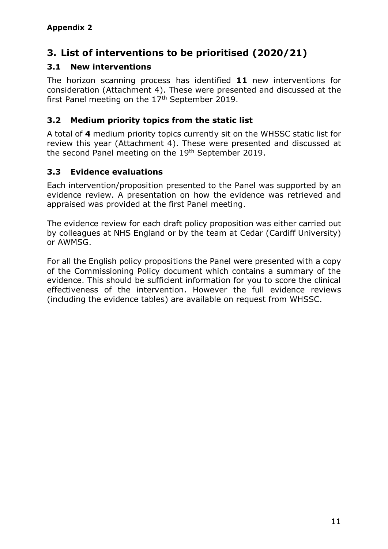# <span id="page-10-0"></span>**3. List of interventions to be prioritised (2020/21)**

#### <span id="page-10-1"></span>**3.1 New interventions**

The horizon scanning process has identified **11** new interventions for consideration (Attachment 4). These were presented and discussed at the first Panel meeting on the  $17<sup>th</sup>$  September 2019.

#### <span id="page-10-2"></span>**3.2 Medium priority topics from the static list**

A total of **4** medium priority topics currently sit on the WHSSC static list for review this year (Attachment 4). These were presented and discussed at the second Panel meeting on the 19<sup>th</sup> September 2019.

#### <span id="page-10-3"></span>**3.3 Evidence evaluations**

Each intervention/proposition presented to the Panel was supported by an evidence review. A presentation on how the evidence was retrieved and appraised was provided at the first Panel meeting.

The evidence review for each draft policy proposition was either carried out by colleagues at NHS England or by the team at Cedar (Cardiff University) or AWMSG.

For all the English policy propositions the Panel were presented with a copy of the Commissioning Policy document which contains a summary of the evidence. This should be sufficient information for you to score the clinical effectiveness of the intervention. However the full evidence reviews (including the evidence tables) are available on request from WHSSC.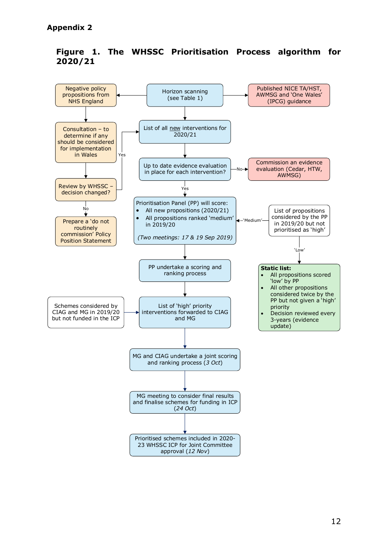

#### **Figure 1. The WHSSC Prioritisation Process algorithm for 2020/21**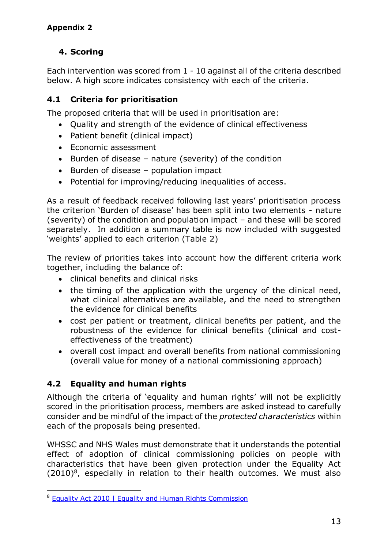## **4. Scoring**

Each intervention was scored from 1 - 10 against all of the criteria described below. A high score indicates consistency with each of the criteria.

### <span id="page-12-0"></span>**4.1 Criteria for prioritisation**

The proposed criteria that will be used in prioritisation are:

- Quality and strength of the evidence of clinical effectiveness
- Patient benefit (clinical impact)
- Fconomic assessment
- $\bullet$  Burden of disease nature (severity) of the condition
- Burden of disease population impact
- Potential for improving/reducing inequalities of access.

As a result of feedback received following last years' prioritisation process the criterion 'Burden of disease' has been split into two elements - nature (severity) of the condition and population impact – and these will be scored separately. In addition a summary table is now included with suggested 'weights' applied to each criterion (Table 2)

The review of priorities takes into account how the different criteria work together, including the balance of:

- clinical benefits and clinical risks
- the timing of the application with the urgency of the clinical need, what clinical alternatives are available, and the need to strengthen the evidence for clinical benefits
- cost per patient or treatment, clinical benefits per patient, and the robustness of the evidence for clinical benefits (clinical and costeffectiveness of the treatment)
- overall cost impact and overall benefits from national commissioning (overall value for money of a national commissioning approach)

### <span id="page-12-1"></span>**4.2 Equality and human rights**

Although the criteria of 'equality and human rights' will not be explicitly scored in the prioritisation process, members are asked instead to carefully consider and be mindful of the impact of the *protected characteristics* within each of the proposals being presented.

WHSSC and NHS Wales must demonstrate that it understands the potential effect of adoption of clinical commissioning policies on people with characteristics that have been given protection under the Equality Act  $(2010)^8$ , especially in relation to their health outcomes. We must also

**<sup>.</sup>** 8 [Equality Act 2010 | Equality and Human Rights Commission](https://www.equalityhumanrights.com/en/equality-act/equality-act-2010)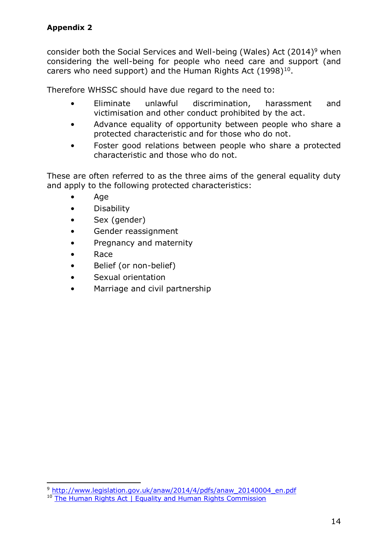consider both the Social Services and Well-being (Wales) Act (2014)<sup>9</sup> when considering the well-being for people who need care and support (and carers who need support) and the Human Rights Act  $(1998)^{10}$ .

Therefore WHSSC should have due regard to the need to:

- Eliminate unlawful discrimination, harassment and victimisation and other conduct prohibited by the act.
- Advance equality of opportunity between people who share a protected characteristic and for those who do not.
- Foster good relations between people who share a protected characteristic and those who do not.

These are often referred to as the three aims of the general equality duty and apply to the following protected characteristics:

- Age
- Disability
- Sex (gender)
- Gender reassignment
- Pregnancy and maternity
- Race
- Belief (or non-belief)
- Sexual orientation
- Marriage and civil partnership

**<sup>.</sup>** 9 [http://www.legislation.gov.uk/anaw/2014/4/pdfs/anaw\\_20140004\\_en.pdf](http://www.legislation.gov.uk/anaw/2014/4/pdfs/anaw_20140004_en.pdf)

<sup>&</sup>lt;sup>10</sup> [The Human Rights Act | Equality and Human Rights Commission](https://www.equalityhumanrights.com/en/human-rights/human-rights-act)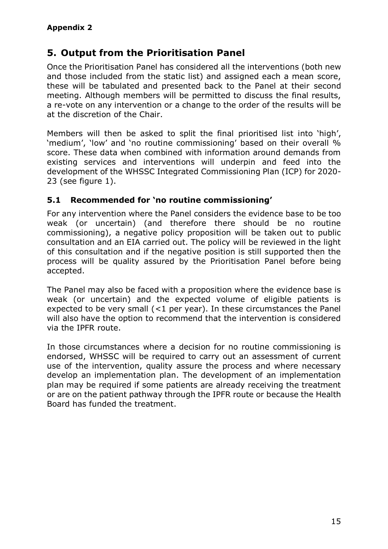# <span id="page-14-0"></span>**5. Output from the Prioritisation Panel**

Once the Prioritisation Panel has considered all the interventions (both new and those included from the static list) and assigned each a mean score, these will be tabulated and presented back to the Panel at their second meeting. Although members will be permitted to discuss the final results, a re-vote on any intervention or a change to the order of the results will be at the discretion of the Chair.

Members will then be asked to split the final prioritised list into 'high', 'medium', 'low' and 'no routine commissioning' based on their overall % score. These data when combined with information around demands from existing services and interventions will underpin and feed into the development of the WHSSC Integrated Commissioning Plan (ICP) for 2020- 23 (see figure 1).

#### <span id="page-14-1"></span>**5.1 Recommended for 'no routine commissioning'**

For any intervention where the Panel considers the evidence base to be too weak (or uncertain) (and therefore there should be no routine commissioning), a negative policy proposition will be taken out to public consultation and an EIA carried out. The policy will be reviewed in the light of this consultation and if the negative position is still supported then the process will be quality assured by the Prioritisation Panel before being accepted.

The Panel may also be faced with a proposition where the evidence base is weak (or uncertain) and the expected volume of eligible patients is expected to be very small (<1 per year). In these circumstances the Panel will also have the option to recommend that the intervention is considered via the IPFR route.

In those circumstances where a decision for no routine commissioning is endorsed, WHSSC will be required to carry out an assessment of current use of the intervention, quality assure the process and where necessary develop an implementation plan. The development of an implementation plan may be required if some patients are already receiving the treatment or are on the patient pathway through the IPFR route or because the Health Board has funded the treatment.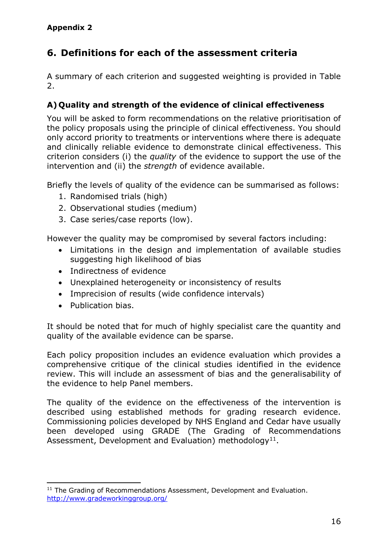# <span id="page-15-0"></span>**6. Definitions for each of the assessment criteria**

A summary of each criterion and suggested weighting is provided in Table 2.

#### <span id="page-15-1"></span>**A) Quality and strength of the evidence of clinical effectiveness**

You will be asked to form recommendations on the relative prioritisation of the policy proposals using the principle of clinical effectiveness. You should only accord priority to treatments or interventions where there is adequate and clinically reliable evidence to demonstrate clinical effectiveness. This criterion considers (i) the *quality* of the evidence to support the use of the intervention and (ii) the *strength* of evidence available.

Briefly the levels of quality of the evidence can be summarised as follows:

- 1. Randomised trials (high)
- 2. Observational studies (medium)
- 3. Case series/case reports (low).

However the quality may be compromised by several factors including:

- Limitations in the design and implementation of available studies suggesting high likelihood of bias
- Indirectness of evidence
- Unexplained heterogeneity or inconsistency of results
- Imprecision of results (wide confidence intervals)
- Publication bias.

It should be noted that for much of highly specialist care the quantity and quality of the available evidence can be sparse.

Each policy proposition includes an evidence evaluation which provides a comprehensive critique of the clinical studies identified in the evidence review. This will include an assessment of bias and the generalisability of the evidence to help Panel members.

The quality of the evidence on the effectiveness of the intervention is described using established methods for grading research evidence. Commissioning policies developed by NHS England and Cedar have usually been developed using GRADE (The Grading of Recommendations Assessment, Development and Evaluation) methodology<sup>11</sup>.

**<sup>.</sup>** <sup>11</sup> The Grading of Recommendations Assessment, Development and Evaluation. <http://www.gradeworkinggroup.org/>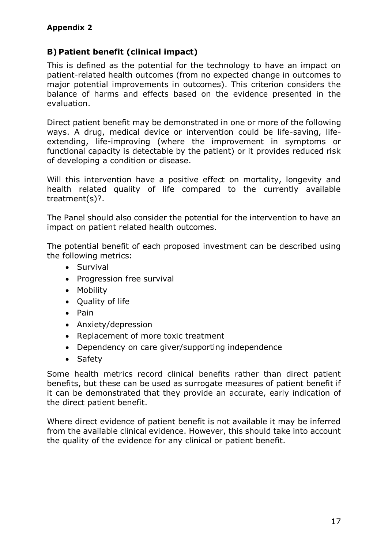#### <span id="page-16-0"></span>**B) Patient benefit (clinical impact)**

This is defined as the potential for the technology to have an impact on patient-related health outcomes (from no expected change in outcomes to major potential improvements in outcomes). This criterion considers the balance of harms and effects based on the evidence presented in the evaluation.

Direct patient benefit may be demonstrated in one or more of the following ways. A drug, medical device or intervention could be life-saving, lifeextending, life-improving (where the improvement in symptoms or functional capacity is detectable by the patient) or it provides reduced risk of developing a condition or disease.

Will this intervention have a positive effect on mortality, longevity and health related quality of life compared to the currently available treatment(s)?.

The Panel should also consider the potential for the intervention to have an impact on patient related health outcomes.

The potential benefit of each proposed investment can be described using the following metrics:

- Survival
- Progression free survival
- Mobility
- Quality of life
- $\bullet$  Pain
- Anxiety/depression
- Replacement of more toxic treatment
- Dependency on care giver/supporting independence
- Safety

Some health metrics record clinical benefits rather than direct patient benefits, but these can be used as surrogate measures of patient benefit if it can be demonstrated that they provide an accurate, early indication of the direct patient benefit.

Where direct evidence of patient benefit is not available it may be inferred from the available clinical evidence. However, this should take into account the quality of the evidence for any clinical or patient benefit.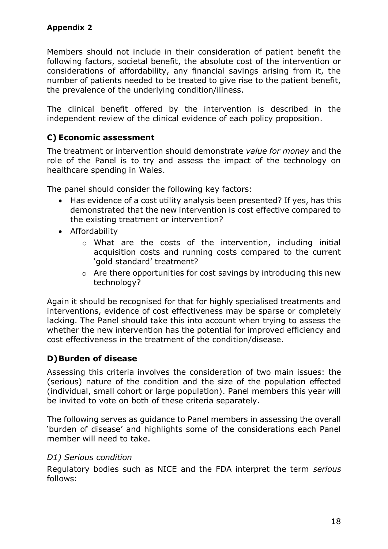Members should not include in their consideration of patient benefit the following factors, societal benefit, the absolute cost of the intervention or considerations of affordability, any financial savings arising from it, the number of patients needed to be treated to give rise to the patient benefit, the prevalence of the underlying condition/illness.

The clinical benefit offered by the intervention is described in the independent review of the clinical evidence of each policy proposition.

#### <span id="page-17-0"></span>**C) Economic assessment**

The treatment or intervention should demonstrate *value for money* and the role of the Panel is to try and assess the impact of the technology on healthcare spending in Wales.

The panel should consider the following key factors:

- Has evidence of a cost utility analysis been presented? If yes, has this demonstrated that the new intervention is cost effective compared to the existing treatment or intervention?
- Affordability
	- o What are the costs of the intervention, including initial acquisition costs and running costs compared to the current 'gold standard' treatment?
	- o Are there opportunities for cost savings by introducing this new technology?

Again it should be recognised for that for highly specialised treatments and interventions, evidence of cost effectiveness may be sparse or completely lacking. The Panel should take this into account when trying to assess the whether the new intervention has the potential for improved efficiency and cost effectiveness in the treatment of the condition/disease.

#### <span id="page-17-1"></span>**D)Burden of disease**

Assessing this criteria involves the consideration of two main issues: the (serious) nature of the condition and the size of the population effected (individual, small cohort or large population). Panel members this year will be invited to vote on both of these criteria separately.

The following serves as guidance to Panel members in assessing the overall 'burden of disease' and highlights some of the considerations each Panel member will need to take.

#### *D1) Serious condition*

Regulatory bodies such as NICE and the FDA interpret the term *serious*  follows: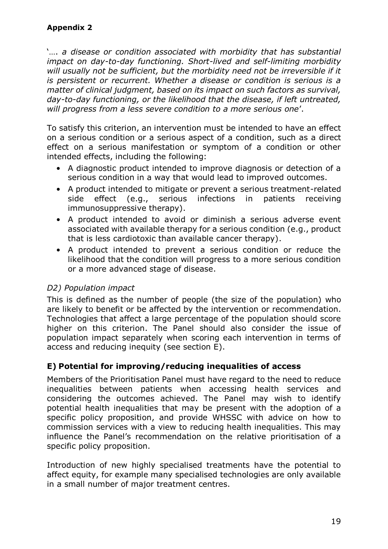'…. *a disease or condition associated with morbidity that has substantial impact on day-to-day functioning. Short-lived and self-limiting morbidity*  will usually not be sufficient, but the morbidity need not be irreversible if it *is persistent or recurrent. Whether a disease or condition is serious is a matter of clinical judgment, based on its impact on such factors as survival, day-to-day functioning, or the likelihood that the disease, if left untreated, will progress from a less severe condition to a more serious one*'.

To satisfy this criterion, an intervention must be intended to have an effect on a serious condition or a serious aspect of a condition, such as a direct effect on a serious manifestation or symptom of a condition or other intended effects, including the following:

- A diagnostic product intended to improve diagnosis or detection of a serious condition in a way that would lead to improved outcomes.
- A product intended to mitigate or prevent a serious treatment-related side effect (e.g., serious infections in patients receiving immunosuppressive therapy).
- A product intended to avoid or diminish a serious adverse event associated with available therapy for a serious condition (e.g., product that is less cardiotoxic than available cancer therapy).
- A product intended to prevent a serious condition or reduce the likelihood that the condition will progress to a more serious condition or a more advanced stage of disease.

#### *D2) Population impact*

This is defined as the number of people (the size of the population) who are likely to benefit or be affected by the intervention or recommendation. Technologies that affect a large percentage of the population should score higher on this criterion. The Panel should also consider the issue of population impact separately when scoring each intervention in terms of access and reducing inequity (see section E).

#### <span id="page-18-0"></span>**E) Potential for improving/reducing inequalities of access**

Members of the Prioritisation Panel must have regard to the need to reduce inequalities between patients when accessing health services and considering the outcomes achieved. The Panel may wish to identify potential health inequalities that may be present with the adoption of a specific policy proposition, and provide WHSSC with advice on how to commission services with a view to reducing health inequalities. This may influence the Panel's recommendation on the relative prioritisation of a specific policy proposition.

Introduction of new highly specialised treatments have the potential to affect equity, for example many specialised technologies are only available in a small number of major treatment centres.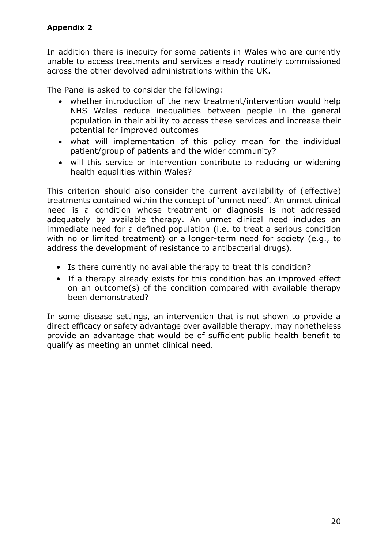In addition there is inequity for some patients in Wales who are currently unable to access treatments and services already routinely commissioned across the other devolved administrations within the UK.

The Panel is asked to consider the following:

- whether introduction of the new treatment/intervention would help NHS Wales reduce inequalities between people in the general population in their ability to access these services and increase their potential for improved outcomes
- what will implementation of this policy mean for the individual patient/group of patients and the wider community?
- will this service or intervention contribute to reducing or widening health equalities within Wales?

This criterion should also consider the current availability of (effective) treatments contained within the concept of 'unmet need'. An unmet clinical need is a condition whose treatment or diagnosis is not addressed adequately by available therapy. An unmet clinical need includes an immediate need for a defined population (i.e. to treat a serious condition with no or limited treatment) or a longer-term need for society (e.g., to address the development of resistance to antibacterial drugs).

- Is there currently no available therapy to treat this condition?
- If a therapy already exists for this condition has an improved effect on an outcome(s) of the condition compared with available therapy been demonstrated?

In some disease settings, an intervention that is not shown to provide a direct efficacy or safety advantage over available therapy, may nonetheless provide an advantage that would be of sufficient public health benefit to qualify as meeting an unmet clinical need.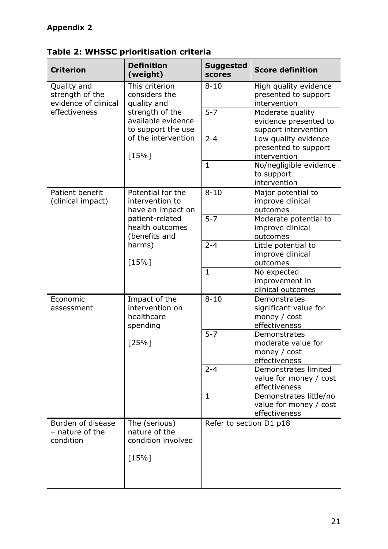| <b>Criterion</b>                                       | <b>Definition</b><br>(weight)                                                                                                                   | <b>Suggested</b><br><b>scores</b> | <b>Score definition</b>                                                |
|--------------------------------------------------------|-------------------------------------------------------------------------------------------------------------------------------------------------|-----------------------------------|------------------------------------------------------------------------|
| Quality and<br>strength of the<br>evidence of clinical | This criterion<br>considers the<br>quality and<br>strength of the<br>available evidence<br>to support the use<br>of the intervention<br>$[15%]$ | $8 - 10$                          | High quality evidence<br>presented to support<br>intervention          |
| effectiveness                                          |                                                                                                                                                 | $5 - 7$                           | Moderate quality<br>evidence presented to<br>support intervention      |
|                                                        |                                                                                                                                                 | $2 - 4$                           | Low quality evidence<br>presented to support<br>intervention           |
|                                                        |                                                                                                                                                 | $\mathbf{1}$                      | No/negligible evidence<br>to support<br>intervention                   |
| Patient benefit<br>(clinical impact)                   | Potential for the<br>intervention to<br>have an impact on<br>patient-related<br>health outcomes<br>(benefits and                                | $8 - 10$                          | Major potential to<br>improve clinical<br>outcomes                     |
|                                                        |                                                                                                                                                 | $5 - 7$                           | Moderate potential to<br>improve clinical<br>outcomes                  |
|                                                        | harms)<br>$[15\%]$                                                                                                                              | $2 - 4$                           | Little potential to<br>improve clinical<br>outcomes                    |
|                                                        |                                                                                                                                                 | $\mathbf{1}$                      | No expected<br>improvement in<br>clinical outcomes                     |
| Economic<br>assessment                                 | Impact of the<br>intervention on<br>healthcare<br>spending<br>[25%]                                                                             | $8 - 10$                          | Demonstrates<br>significant value for<br>money / cost<br>effectiveness |
|                                                        |                                                                                                                                                 | $5 - 7$                           | Demonstrates<br>moderate value for<br>money / cost<br>effectiveness    |
|                                                        |                                                                                                                                                 | $2 - 4$                           | Demonstrates limited<br>value for money / cost<br>effectiveness        |
|                                                        |                                                                                                                                                 | $\mathbf{1}$                      | Demonstrates little/no<br>value for money / cost<br>effectiveness      |
| Burden of disease<br>- nature of the<br>condition      | The (serious)<br>nature of the<br>condition involved                                                                                            | Refer to section D1 p18           |                                                                        |
|                                                        | $[15\%]$                                                                                                                                        |                                   |                                                                        |
|                                                        |                                                                                                                                                 |                                   |                                                                        |

**Table 2: WHSSC prioritisation criteria**